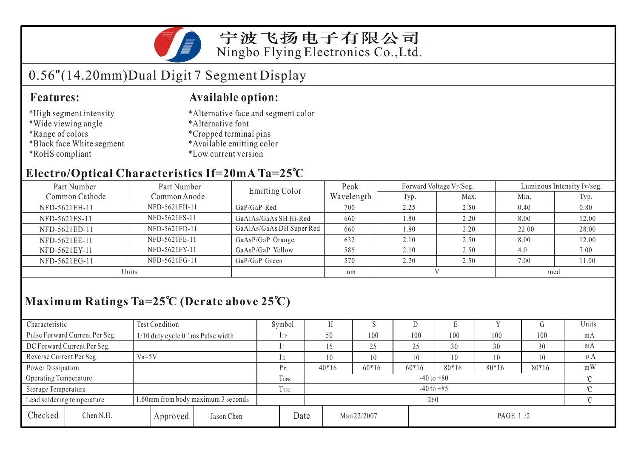

宁波飞扬电子有限公司 Ningbo Flying Electronics Co.,Ltd.

# 0.56"(14.20mm)Dual Digit 7 Segment Display

#### **Features:**

### **Available option:**

- \*High segment intensity
- \*Wide viewing angle
- \*Range of colors
- \*Black face White segment
- \*RoHS compliant
- \*Alternative face and segment color
- \*Alternative font
- \*Cropped terminal pins
- \*Available emitting color
- \*Low current version

### **Electro/Optical Characteristics If=20mA Ta=25 C**

| Part Number                    | Part Number   | <b>Emitting Color</b>    | Peak       |      | Forward Voltage VF/Seg. | Luminous Intensity Iv/seg. |       |  |
|--------------------------------|---------------|--------------------------|------------|------|-------------------------|----------------------------|-------|--|
| Common Cathode<br>Common Anode |               |                          | Wavelength | Typ. | Max.                    | Min.                       | Typ.  |  |
| NFD-5621EH-11                  | NFD-5621FH-11 | $GaP/GaP$ Red            | 700        | 2.25 | 2.50                    | 0.40                       | 0.80  |  |
| NFD-5621ES-11                  | NFD-5621FS-11 | GaAlAs/GaAs SH Hi-Red    | 660        | 1.80 | 2.20                    | 8.00                       | 12.00 |  |
| NFD-5621ED-11                  | NFD-5621FD-11 | GaAlAs/GaAs DH Super Red | 660        | 1.80 | 2.20                    | 22.00                      | 28.00 |  |
| NFD-5621EE-11                  | NFD-5621FE-11 | GaAsP/GaP Orange         | 632        | 2.10 | 2.50                    | 8.00                       | 12.00 |  |
| NFD-5621EY-11                  | NFD-5621FY-11 | GaAsP/GaP Yellow         | 585        | 2.10 | 2.50                    | 4.0                        | 7.00  |  |
| NFD-5621EG-11                  | NFD-5621FG-11 | GaP/GaP Green            | 570        | 2.20 | 2.50                    | 7.00                       | 11.00 |  |
| Units                          |               |                          | nm         |      |                         | mcd                        |       |  |

## **Maximum Ratings Ta=25 C (Derate above 25 C)**

| Characteristic           |                                | <b>Test Condition</b>              |             |                            | Symbol       |         |    |             | ע       |          |         | U       | Units    |
|--------------------------|--------------------------------|------------------------------------|-------------|----------------------------|--------------|---------|----|-------------|---------|----------|---------|---------|----------|
|                          | Pulse Forward Current Per Seg. | 1/10 duty cycle 0.1ms Pulse width  |             |                            | $_{\rm IFP}$ | 50      |    | 100         | 100     | 100      | 100     | 100     | mA       |
|                          | DC Forward Current Per Seg.    |                                    |             | 1F                         |              |         | 25 | 25          | 30      | 30       | 30      | mA      |          |
| Reverse Current Per Seg. |                                | $V_R = 5V$                         |             |                            | 1 R          | 10      |    | 10          | 10      | 10       | 10      | 10      | $\mu A$  |
| Power Dissipation        |                                |                                    |             |                            | $P_D$        | $40*16$ |    | $60*16$     | $60*16$ | $80*16$  | $80*16$ | $80*16$ | mW       |
| Operating Temperature    |                                |                                    | <b>TOPR</b> | $-40$ to $+80$<br>$\sim$   |              |         |    |             |         |          |         |         |          |
| Storage Temperature      |                                |                                    | Trsg        | $-40$ to $+85$<br>$\gamma$ |              |         |    |             |         |          |         |         |          |
|                          | Lead soldering temperature     | 1.60mm from body maximum 3 seconds |             |                            |              | 260     |    |             |         |          |         |         | $\gamma$ |
| Checked                  | Chen N.H.                      |                                    | Approved    | Jason Chen                 | Date         |         |    | Mar/22/2007 |         | PAGE 1/2 |         |         |          |